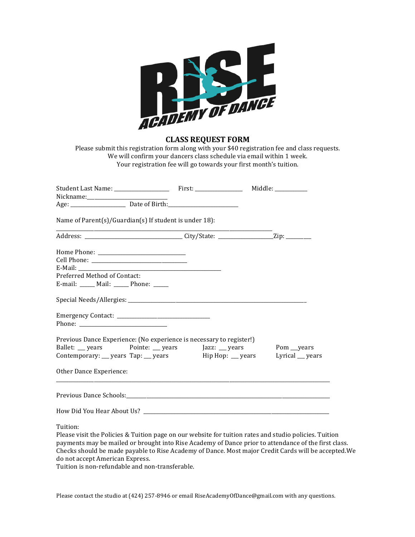

**CLASS REQUEST FORM**

Please submit this registration form along with your \$40 registration fee and class requests. We will confirm your dancers class schedule via email within 1 week. Your registration fee will go towards your first month's tuition.

| Name of Parent(s)/Guardian(s) If student is under 18):                                                 |  |  |  |
|--------------------------------------------------------------------------------------------------------|--|--|--|
|                                                                                                        |  |  |  |
|                                                                                                        |  |  |  |
|                                                                                                        |  |  |  |
|                                                                                                        |  |  |  |
| Preferred Method of Contact:                                                                           |  |  |  |
| E-mail: _____ Mail: _____ Phone: _____                                                                 |  |  |  |
|                                                                                                        |  |  |  |
|                                                                                                        |  |  |  |
| Previous Dance Experience: (No experience is necessary to register!)                                   |  |  |  |
| Ballet: years Pointe: years Jazz: years Pom years                                                      |  |  |  |
| Contemporary: __ years Tap: __ years Hip Hop: __ years Lyrical __ years                                |  |  |  |
| Other Dance Experience:                                                                                |  |  |  |
|                                                                                                        |  |  |  |
|                                                                                                        |  |  |  |
| Tuition:                                                                                               |  |  |  |
| Please visit the Policies & Tuition page on our website for tuition rates and studio policies. Tuition |  |  |  |

payments may be mailed or brought into Rise Academy of Dance prior to attendance of the first class. Checks should be made payable to Rise Academy of Dance. Most major Credit Cards will be accepted. We do not accept American Express.

Tuition is non-refundable and non-transferable.

Please contact the studio at (424) 257-8946 or email RiseAcademyOfDance@gmail.com with any questions.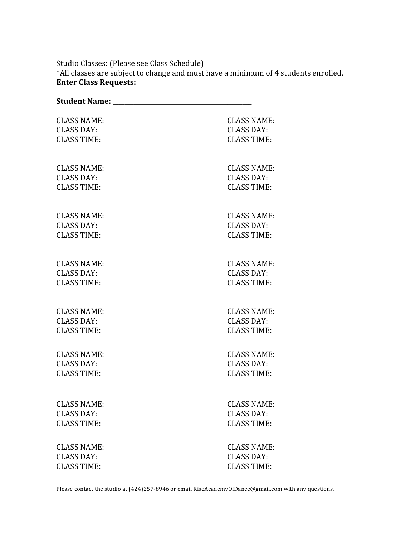Studio Classes: (Please see Class Schedule)

\*All classes are subject to change and must have a minimum of 4 students enrolled. **Enter Class Requests:**

| <b>CLASS NAME:</b> | <b>CLASS NAME:</b> |
|--------------------|--------------------|
| <b>CLASS DAY:</b>  | <b>CLASS DAY:</b>  |
| <b>CLASS TIME:</b> | <b>CLASS TIME:</b> |
| <b>CLASS NAME:</b> | <b>CLASS NAME:</b> |
| <b>CLASS DAY:</b>  | <b>CLASS DAY:</b>  |
| <b>CLASS TIME:</b> | <b>CLASS TIME:</b> |
| <b>CLASS NAME:</b> | <b>CLASS NAME:</b> |
| <b>CLASS DAY:</b>  | <b>CLASS DAY:</b>  |
| <b>CLASS TIME:</b> | <b>CLASS TIME:</b> |
| <b>CLASS NAME:</b> | <b>CLASS NAME:</b> |
| <b>CLASS DAY:</b>  | <b>CLASS DAY:</b>  |
| <b>CLASS TIME:</b> | <b>CLASS TIME:</b> |
| <b>CLASS NAME:</b> | <b>CLASS NAME:</b> |
| <b>CLASS DAY:</b>  | <b>CLASS DAY:</b>  |
| <b>CLASS TIME:</b> | <b>CLASS TIME:</b> |
| <b>CLASS NAME:</b> | <b>CLASS NAME:</b> |
| <b>CLASS DAY:</b>  | <b>CLASS DAY:</b>  |
| <b>CLASS TIME:</b> | <b>CLASS TIME:</b> |
| <b>CLASS NAME:</b> | <b>CLASS NAME:</b> |
| <b>CLASS DAY:</b>  | <b>CLASS DAY:</b>  |
| <b>CLASS TIME:</b> | <b>CLASS TIME:</b> |
| <b>CLASS NAME:</b> | <b>CLASS NAME:</b> |
| <b>CLASS DAY:</b>  | <b>CLASS DAY:</b>  |
| <b>CLASS TIME:</b> | <b>CLASS TIME:</b> |

Please contact the studio at (424)257-8946 or email RiseAcademyOfDance@gmail.com with any questions.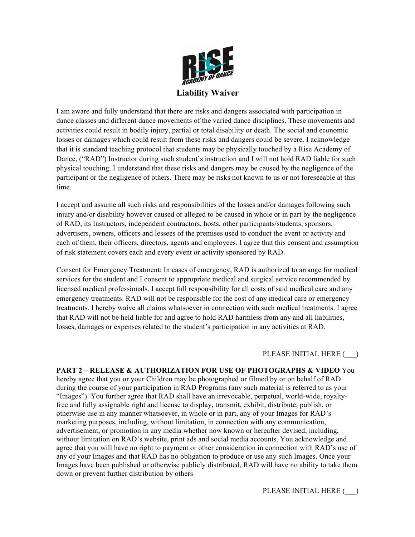

I am aware and fully understand that there are risks and dangers associated with participation in dance classes and different dance movements of the varied dance disciplines. These movements and activities could result in bodily injury, partial or total disability or death. The social and economic losses or damages which could result from these risks and dangers could be severe. I acknowledge that it is standard teaching protocol that students may be physically touched by a Rise Academy of Dance, ("RAD") Instructor during such student's instruction and I will not hold RAD liable for such physical touching. I understand that these risks and dangers may be caused by the negligence of the participant or the negligence of others. There may be risks not known to us or not foreseeable at this time.

I accept and assume all such risks and responsibilities of the losses and/or damages following such injury and/or disability however caused or alleged to be caused in whole or in part by the negligence of RAD, its Instructors, independent contractors, hosts, other participants/students, sponsors, advertisers, owners, officers and lessees of the premises used to conduct the event or activity and each of them, their officers, directors, agents and employees. I agree that this consent and assumption of risk statement covers each and every event or activity sponsored by RAD.

Consent for Emergency Treatment: In cases of emergency, RAD is authorized to arrange for medical services for the student and I consent to appropriate medical and surgical service recommended by licensed medical professionals. I accept full responsibility for all costs of said medical care and any emergency treatments. RAD will not be responsible for the cost of any medical care or emergency treatments. I hereby waive all claims whatsoever in connection with such medical treatments. I agree that RAD will not be held liable for and agree to hold RAD harmless from any and all liabilities, losses, damages or expenses related to the student's participation in any activities at RAD.

PLEASE INITIAL HERE ( )

**PART 2 – RELEASE & AUTHORIZATION FOR USE OF PHOTOGRAPHS & VIDEO** You hereby agree that you or your Children may be photographed or filmed by or on behalf of RAD during the course of your participation in RAD Programs (any such material is referred to as your "Images"). You further agree that RAD shall have an irrevocable, perpetual, world-wide, royaltyfree and fully assignable right and license to display, transmit, exhibit, distribute, publish, or otherwise use in any manner whatsoever, in whole or in part, any of your Images for RAD's marketing purposes, including, without limitation, in connection with any communication, advertisement, or promotion in any media whether now known or hereafter devised, including, without limitation on RAD's website, print ads and social media accounts. You acknowledge and agree that you will have no right to payment or other consideration in connection with RAD's use of any of your Images and that RAD has no obligation to produce or use any such Images. Once your Images have been published or otherwise publicly distributed, RAD will have no ability to take them down or prevent further distribution by others

PLEASE INITIAL HERE  $($